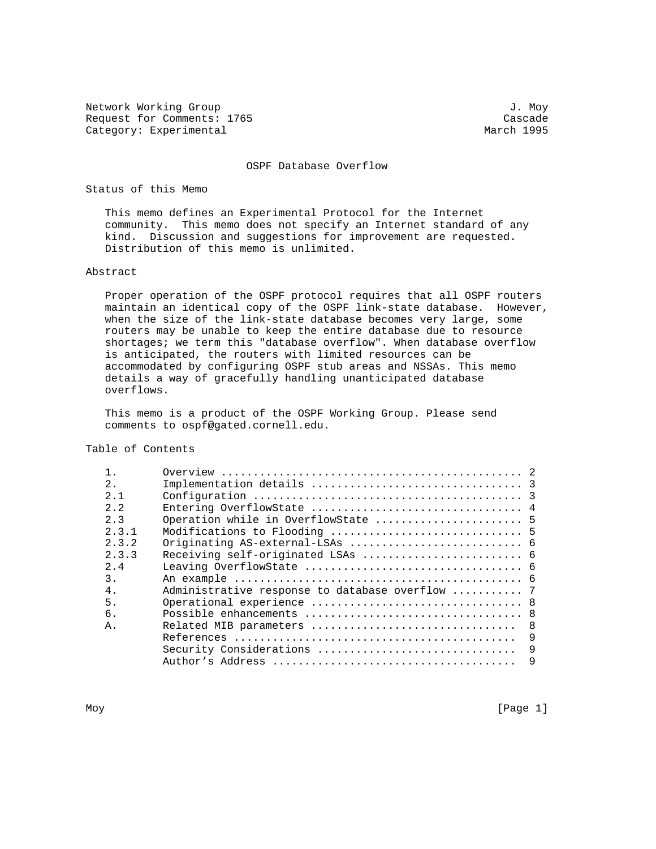Network Working Group 3. November 2012 1. November 2013 Request for Comments: 1765<br>
Category: Experimental<br>
Category: Experimental Category: Experimental

OSPF Database Overflow

Status of this Memo

 This memo defines an Experimental Protocol for the Internet community. This memo does not specify an Internet standard of any kind. Discussion and suggestions for improvement are requested. Distribution of this memo is unlimited.

### Abstract

 Proper operation of the OSPF protocol requires that all OSPF routers maintain an identical copy of the OSPF link-state database. However, when the size of the link-state database becomes very large, some routers may be unable to keep the entire database due to resource shortages; we term this "database overflow". When database overflow is anticipated, the routers with limited resources can be accommodated by configuring OSPF stub areas and NSSAs. This memo details a way of gracefully handling unanticipated database overflows.

 This memo is a product of the OSPF Working Group. Please send comments to ospf@gated.cornell.edu.

Table of Contents

| 2.    |                                                 |  |
|-------|-------------------------------------------------|--|
| 2.1   |                                                 |  |
| 2.2   |                                                 |  |
| 2.3   |                                                 |  |
| 2.3.1 |                                                 |  |
| 2.3.2 |                                                 |  |
| 2.3.3 |                                                 |  |
| 2.4   |                                                 |  |
| 3.    |                                                 |  |
| $4$ . | Administrative response to database overflow  7 |  |
| 5.    |                                                 |  |
| б.    |                                                 |  |
| Α.    |                                                 |  |
|       | 9                                               |  |
|       | 9<br>Security Considerations                    |  |
|       | 9                                               |  |
|       |                                                 |  |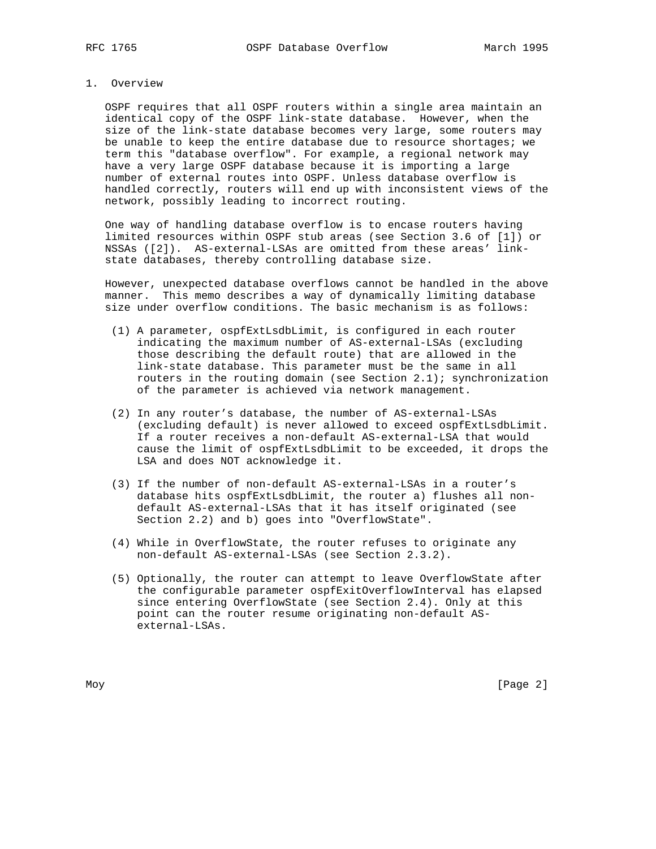#### 1. Overview

 OSPF requires that all OSPF routers within a single area maintain an identical copy of the OSPF link-state database. However, when the size of the link-state database becomes very large, some routers may be unable to keep the entire database due to resource shortages; we term this "database overflow". For example, a regional network may have a very large OSPF database because it is importing a large number of external routes into OSPF. Unless database overflow is handled correctly, routers will end up with inconsistent views of the network, possibly leading to incorrect routing.

 One way of handling database overflow is to encase routers having limited resources within OSPF stub areas (see Section 3.6 of [1]) or NSSAs ([2]). AS-external-LSAs are omitted from these areas' link state databases, thereby controlling database size.

 However, unexpected database overflows cannot be handled in the above manner. This memo describes a way of dynamically limiting database size under overflow conditions. The basic mechanism is as follows:

- (1) A parameter, ospfExtLsdbLimit, is configured in each router indicating the maximum number of AS-external-LSAs (excluding those describing the default route) that are allowed in the link-state database. This parameter must be the same in all routers in the routing domain (see Section 2.1); synchronization of the parameter is achieved via network management.
- (2) In any router's database, the number of AS-external-LSAs (excluding default) is never allowed to exceed ospfExtLsdbLimit. If a router receives a non-default AS-external-LSA that would cause the limit of ospfExtLsdbLimit to be exceeded, it drops the LSA and does NOT acknowledge it.
- (3) If the number of non-default AS-external-LSAs in a router's database hits ospfExtLsdbLimit, the router a) flushes all non default AS-external-LSAs that it has itself originated (see Section 2.2) and b) goes into "OverflowState".
- (4) While in OverflowState, the router refuses to originate any non-default AS-external-LSAs (see Section 2.3.2).
- (5) Optionally, the router can attempt to leave OverflowState after the configurable parameter ospfExitOverflowInterval has elapsed since entering OverflowState (see Section 2.4). Only at this point can the router resume originating non-default AS external-LSAs.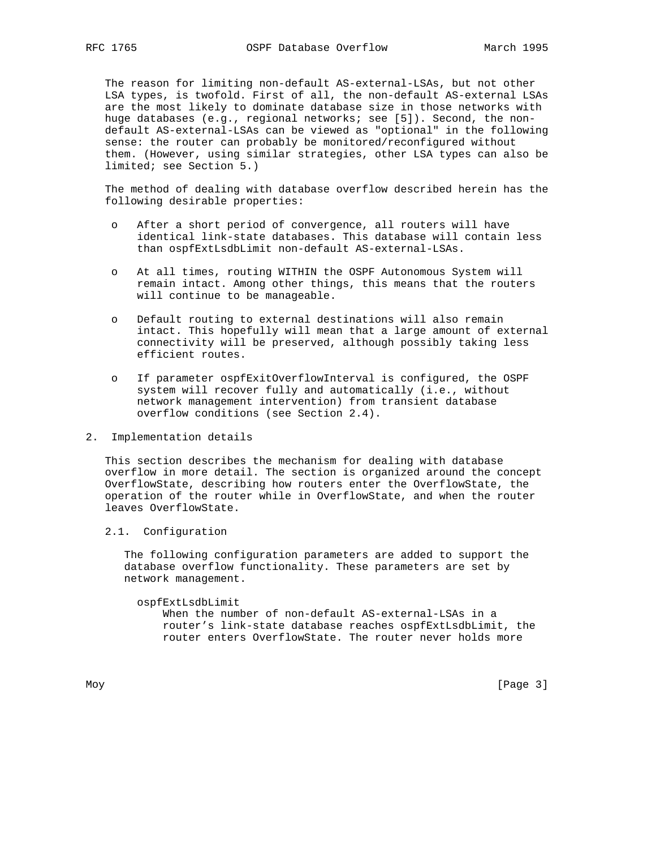The reason for limiting non-default AS-external-LSAs, but not other LSA types, is twofold. First of all, the non-default AS-external LSAs are the most likely to dominate database size in those networks with huge databases (e.g., regional networks; see [5]). Second, the non default AS-external-LSAs can be viewed as "optional" in the following sense: the router can probably be monitored/reconfigured without them. (However, using similar strategies, other LSA types can also be limited; see Section 5.)

 The method of dealing with database overflow described herein has the following desirable properties:

- o After a short period of convergence, all routers will have identical link-state databases. This database will contain less than ospfExtLsdbLimit non-default AS-external-LSAs.
- o At all times, routing WITHIN the OSPF Autonomous System will remain intact. Among other things, this means that the routers will continue to be manageable.
- o Default routing to external destinations will also remain intact. This hopefully will mean that a large amount of external connectivity will be preserved, although possibly taking less efficient routes.
- o If parameter ospfExitOverflowInterval is configured, the OSPF system will recover fully and automatically (i.e., without network management intervention) from transient database overflow conditions (see Section 2.4).
- 2. Implementation details

 This section describes the mechanism for dealing with database overflow in more detail. The section is organized around the concept OverflowState, describing how routers enter the OverflowState, the operation of the router while in OverflowState, and when the router leaves OverflowState.

2.1. Configuration

 The following configuration parameters are added to support the database overflow functionality. These parameters are set by network management.

#### ospfExtLsdbLimit

 When the number of non-default AS-external-LSAs in a router's link-state database reaches ospfExtLsdbLimit, the router enters OverflowState. The router never holds more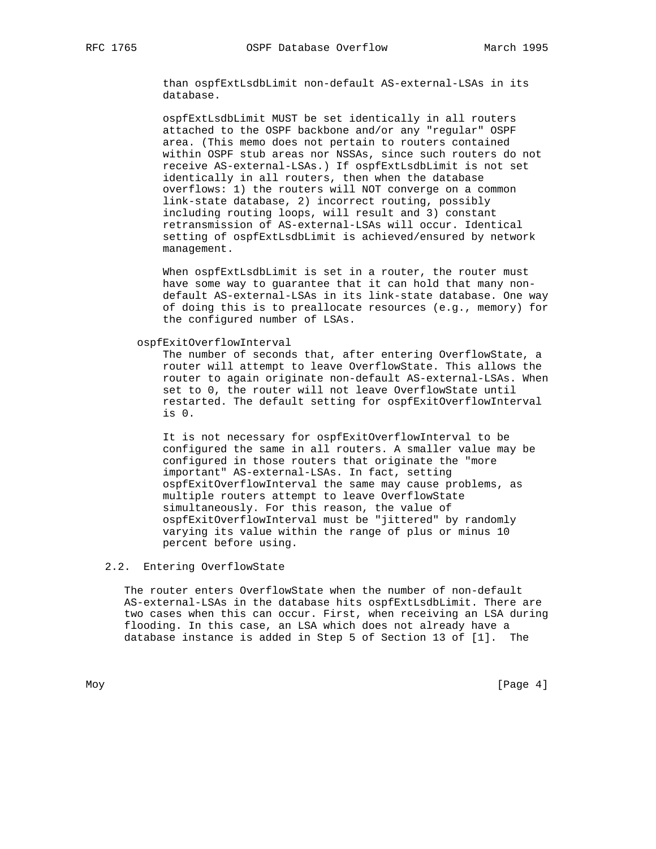than ospfExtLsdbLimit non-default AS-external-LSAs in its database.

 ospfExtLsdbLimit MUST be set identically in all routers attached to the OSPF backbone and/or any "regular" OSPF area. (This memo does not pertain to routers contained within OSPF stub areas nor NSSAs, since such routers do not receive AS-external-LSAs.) If ospfExtLsdbLimit is not set identically in all routers, then when the database overflows: 1) the routers will NOT converge on a common link-state database, 2) incorrect routing, possibly including routing loops, will result and 3) constant retransmission of AS-external-LSAs will occur. Identical setting of ospfExtLsdbLimit is achieved/ensured by network management.

When ospfExtLsdbLimit is set in a router, the router must have some way to guarantee that it can hold that many non default AS-external-LSAs in its link-state database. One way of doing this is to preallocate resources (e.g., memory) for the configured number of LSAs.

ospfExitOverflowInterval

 The number of seconds that, after entering OverflowState, a router will attempt to leave OverflowState. This allows the router to again originate non-default AS-external-LSAs. When set to 0, the router will not leave OverflowState until restarted. The default setting for ospfExitOverflowInterval is 0.

 It is not necessary for ospfExitOverflowInterval to be configured the same in all routers. A smaller value may be configured in those routers that originate the "more important" AS-external-LSAs. In fact, setting ospfExitOverflowInterval the same may cause problems, as multiple routers attempt to leave OverflowState simultaneously. For this reason, the value of ospfExitOverflowInterval must be "jittered" by randomly varying its value within the range of plus or minus 10 percent before using.

2.2. Entering OverflowState

 The router enters OverflowState when the number of non-default AS-external-LSAs in the database hits ospfExtLsdbLimit. There are two cases when this can occur. First, when receiving an LSA during flooding. In this case, an LSA which does not already have a database instance is added in Step 5 of Section 13 of [1]. The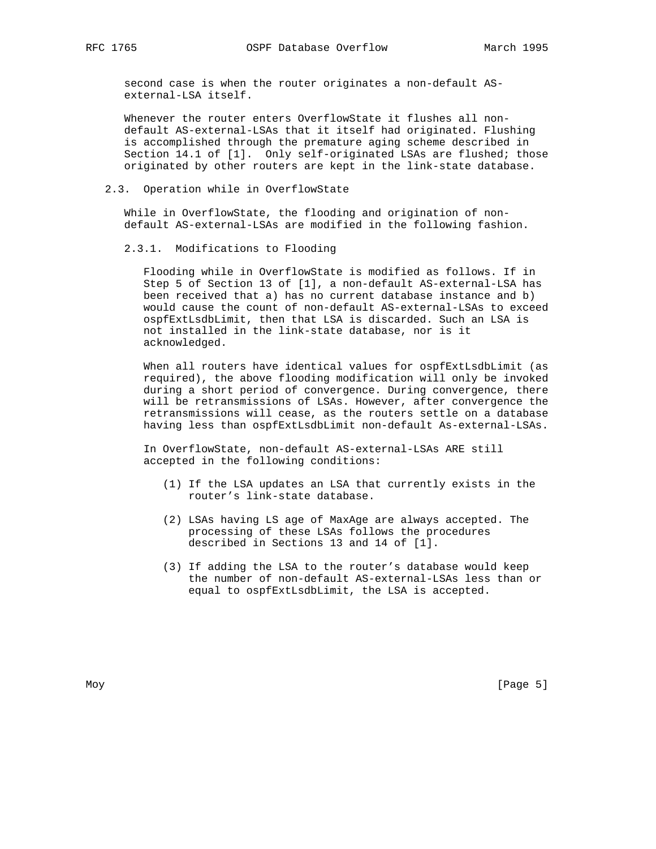second case is when the router originates a non-default AS external-LSA itself.

 Whenever the router enters OverflowState it flushes all non default AS-external-LSAs that it itself had originated. Flushing is accomplished through the premature aging scheme described in Section 14.1 of [1]. Only self-originated LSAs are flushed; those originated by other routers are kept in the link-state database.

#### 2.3. Operation while in OverflowState

 While in OverflowState, the flooding and origination of non default AS-external-LSAs are modified in the following fashion.

2.3.1. Modifications to Flooding

 Flooding while in OverflowState is modified as follows. If in Step 5 of Section 13 of [1], a non-default AS-external-LSA has been received that a) has no current database instance and b) would cause the count of non-default AS-external-LSAs to exceed ospfExtLsdbLimit, then that LSA is discarded. Such an LSA is not installed in the link-state database, nor is it acknowledged.

When all routers have identical values for ospfExtLsdbLimit (as required), the above flooding modification will only be invoked during a short period of convergence. During convergence, there will be retransmissions of LSAs. However, after convergence the retransmissions will cease, as the routers settle on a database having less than ospfExtLsdbLimit non-default As-external-LSAs.

 In OverflowState, non-default AS-external-LSAs ARE still accepted in the following conditions:

- (1) If the LSA updates an LSA that currently exists in the router's link-state database.
- (2) LSAs having LS age of MaxAge are always accepted. The processing of these LSAs follows the procedures described in Sections 13 and 14 of [1].
- (3) If adding the LSA to the router's database would keep the number of non-default AS-external-LSAs less than or equal to ospfExtLsdbLimit, the LSA is accepted.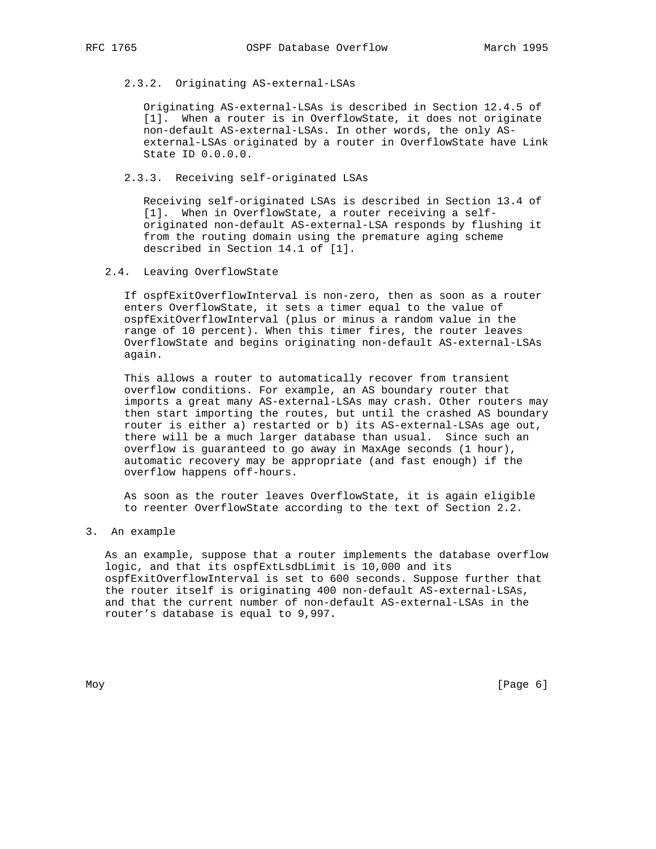# 2.3.2. Originating AS-external-LSAs

 Originating AS-external-LSAs is described in Section 12.4.5 of [1]. When a router is in OverflowState, it does not originate non-default AS-external-LSAs. In other words, the only AS external-LSAs originated by a router in OverflowState have Link State ID 0.0.0.0.

### 2.3.3. Receiving self-originated LSAs

 Receiving self-originated LSAs is described in Section 13.4 of [1]. When in OverflowState, a router receiving a self originated non-default AS-external-LSA responds by flushing it from the routing domain using the premature aging scheme described in Section 14.1 of [1].

## 2.4. Leaving OverflowState

 If ospfExitOverflowInterval is non-zero, then as soon as a router enters OverflowState, it sets a timer equal to the value of ospfExitOverflowInterval (plus or minus a random value in the range of 10 percent). When this timer fires, the router leaves OverflowState and begins originating non-default AS-external-LSAs again.

 This allows a router to automatically recover from transient overflow conditions. For example, an AS boundary router that imports a great many AS-external-LSAs may crash. Other routers may then start importing the routes, but until the crashed AS boundary router is either a) restarted or b) its AS-external-LSAs age out, there will be a much larger database than usual. Since such an overflow is guaranteed to go away in MaxAge seconds (1 hour), automatic recovery may be appropriate (and fast enough) if the overflow happens off-hours.

 As soon as the router leaves OverflowState, it is again eligible to reenter OverflowState according to the text of Section 2.2.

3. An example

 As an example, suppose that a router implements the database overflow logic, and that its ospfExtLsdbLimit is 10,000 and its ospfExitOverflowInterval is set to 600 seconds. Suppose further that the router itself is originating 400 non-default AS-external-LSAs, and that the current number of non-default AS-external-LSAs in the router's database is equal to 9,997.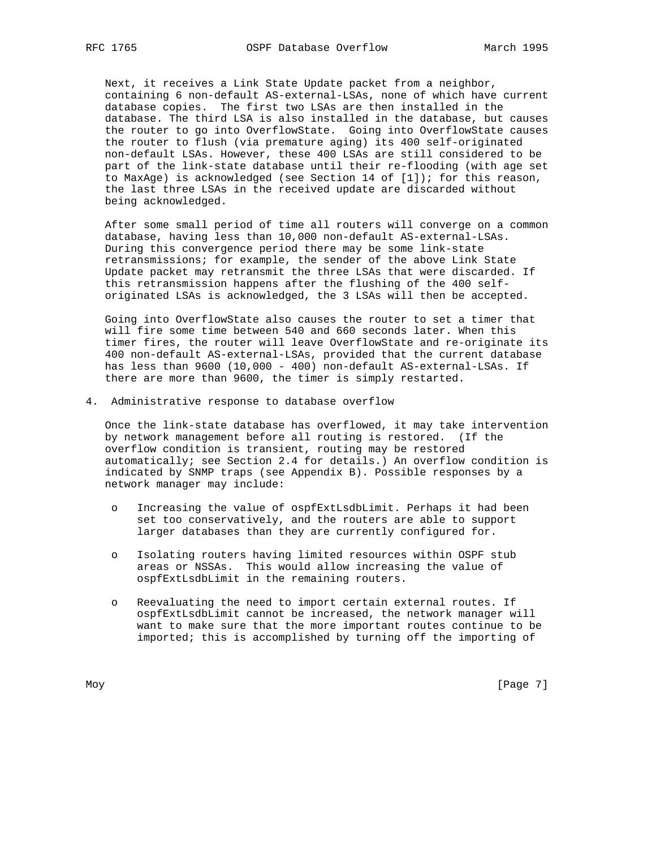Next, it receives a Link State Update packet from a neighbor, containing 6 non-default AS-external-LSAs, none of which have current database copies. The first two LSAs are then installed in the database. The third LSA is also installed in the database, but causes the router to go into OverflowState. Going into OverflowState causes the router to flush (via premature aging) its 400 self-originated non-default LSAs. However, these 400 LSAs are still considered to be part of the link-state database until their re-flooding (with age set to MaxAge) is acknowledged (see Section 14 of [1]); for this reason, the last three LSAs in the received update are discarded without being acknowledged.

 After some small period of time all routers will converge on a common database, having less than 10,000 non-default AS-external-LSAs. During this convergence period there may be some link-state retransmissions; for example, the sender of the above Link State Update packet may retransmit the three LSAs that were discarded. If this retransmission happens after the flushing of the 400 self originated LSAs is acknowledged, the 3 LSAs will then be accepted.

 Going into OverflowState also causes the router to set a timer that will fire some time between 540 and 660 seconds later. When this timer fires, the router will leave OverflowState and re-originate its 400 non-default AS-external-LSAs, provided that the current database has less than 9600 (10,000 - 400) non-default AS-external-LSAs. If there are more than 9600, the timer is simply restarted.

4. Administrative response to database overflow

 Once the link-state database has overflowed, it may take intervention by network management before all routing is restored. (If the overflow condition is transient, routing may be restored automatically; see Section 2.4 for details.) An overflow condition is indicated by SNMP traps (see Appendix B). Possible responses by a network manager may include:

- o Increasing the value of ospfExtLsdbLimit. Perhaps it had been set too conservatively, and the routers are able to support larger databases than they are currently configured for.
- o Isolating routers having limited resources within OSPF stub areas or NSSAs. This would allow increasing the value of ospfExtLsdbLimit in the remaining routers.
- o Reevaluating the need to import certain external routes. If ospfExtLsdbLimit cannot be increased, the network manager will want to make sure that the more important routes continue to be imported; this is accomplished by turning off the importing of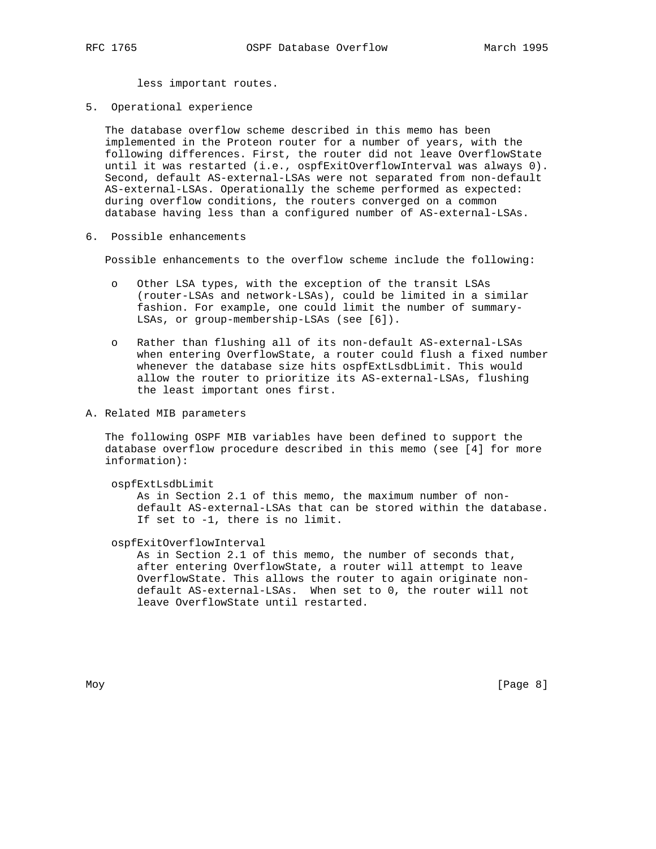less important routes.

5. Operational experience

 The database overflow scheme described in this memo has been implemented in the Proteon router for a number of years, with the following differences. First, the router did not leave OverflowState until it was restarted (i.e., ospfExitOverflowInterval was always 0). Second, default AS-external-LSAs were not separated from non-default AS-external-LSAs. Operationally the scheme performed as expected: during overflow conditions, the routers converged on a common database having less than a configured number of AS-external-LSAs.

6. Possible enhancements

Possible enhancements to the overflow scheme include the following:

- o Other LSA types, with the exception of the transit LSAs (router-LSAs and network-LSAs), could be limited in a similar fashion. For example, one could limit the number of summary- LSAs, or group-membership-LSAs (see [6]).
- o Rather than flushing all of its non-default AS-external-LSAs when entering OverflowState, a router could flush a fixed number whenever the database size hits ospfExtLsdbLimit. This would allow the router to prioritize its AS-external-LSAs, flushing the least important ones first.
- A. Related MIB parameters

 The following OSPF MIB variables have been defined to support the database overflow procedure described in this memo (see [4] for more information):

ospfExtLsdbLimit

 As in Section 2.1 of this memo, the maximum number of non default AS-external-LSAs that can be stored within the database. If set to -1, there is no limit.

ospfExitOverflowInterval

 As in Section 2.1 of this memo, the number of seconds that, after entering OverflowState, a router will attempt to leave OverflowState. This allows the router to again originate non default AS-external-LSAs. When set to 0, the router will not leave OverflowState until restarted.